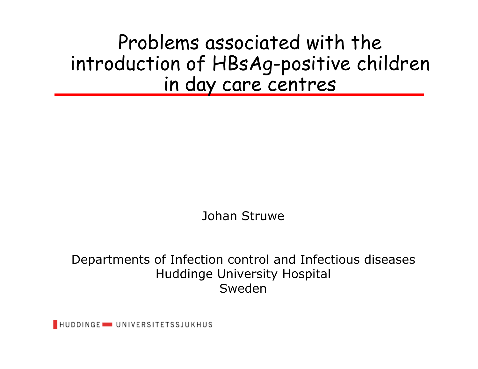Problems associated with the introduction of HBsAg-positive children in day care centres

Johan Struwe

Departments of Infection control and Infectious diseases Huddinge University Hospital Sweden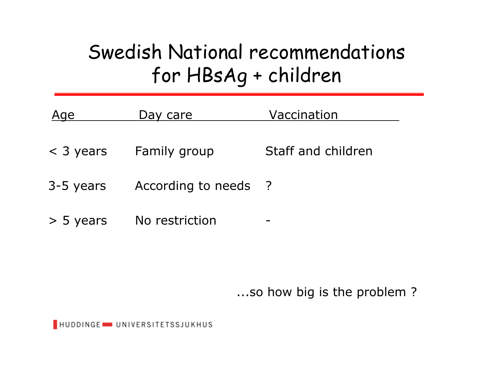## Swedish National recommendations for HBsAg + children

| Age         | Day care           | Vaccination        |  |
|-------------|--------------------|--------------------|--|
| $<$ 3 years | Family group       | Staff and children |  |
| 3-5 years   | According to needs | $\overline{?}$     |  |
| $>$ 5 years | No restriction     |                    |  |

...so how big is the problem ?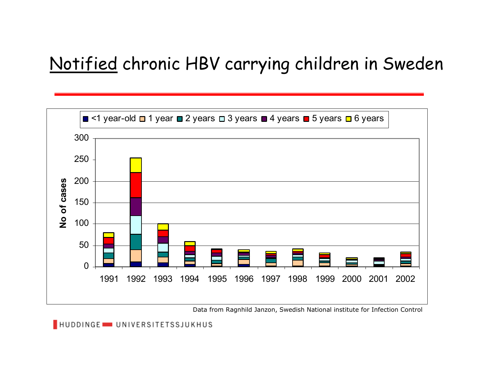#### Notified chronic HBV carrying children in Sweden



Data from Ragnhild Janzon, Swedish National institute for Infection Control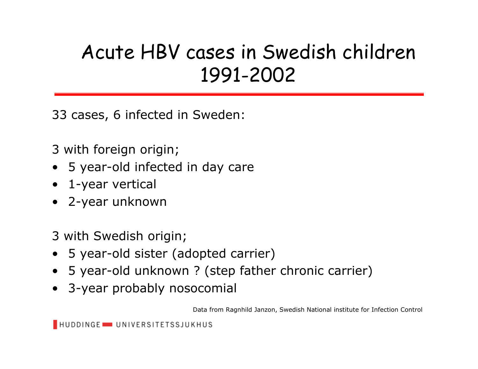## Acute HBV cases in Swedish children 1991-2002

33 cases, 6 infected in Sweden:

3 with foreign origin;

- 5 year-old infected in day care
- 1-year vertical
- 2-year unknown

3 with Swedish origin;

- 5 year-old sister (adopted carrier)
- 5 year-old unknown ? (step father chronic carrier)
- 3-year probably nosocomial

Data from Ragnhild Janzon, Swedish National institute for Infection Control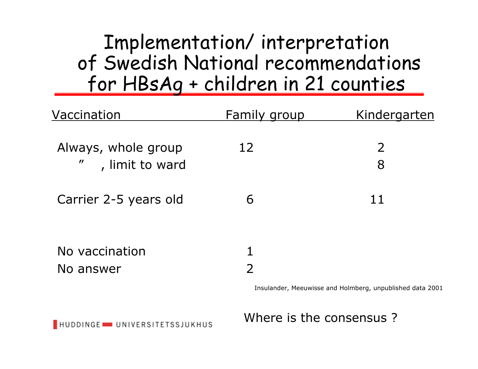#### Implementation/ interpretation of Swedish National recommendations for HBsAg + children in 21 counties

| Vaccination                                                           | <b>Family group</b> | Kindergarten |
|-----------------------------------------------------------------------|---------------------|--------------|
| Always, whole group<br>$\boldsymbol{\prime\prime}$<br>, limit to ward | 12                  | 2<br>8       |
| Carrier 2-5 years old                                                 | 6                   | 11           |
| No vaccination<br>No answer                                           | 1<br>$\overline{2}$ |              |

Insulander, Meeuwisse and Holmberg, unpublished data 2001

Where is the consensus ?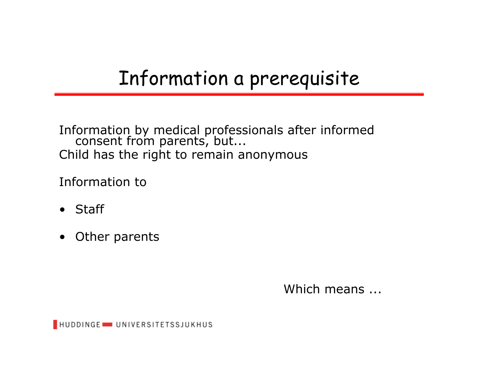### Information a prerequisite

Information by medical professionals after informed consent from parents, but... Child has the right to remain anonymous

Information to

- Staff
- Other parents

Which means ...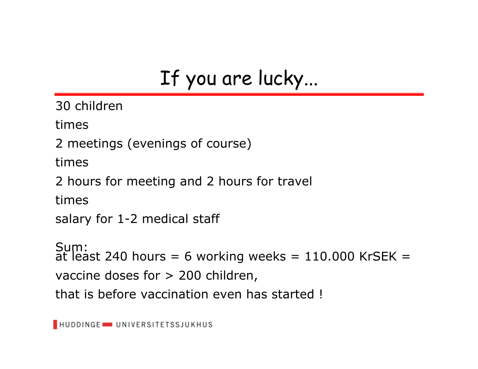# If you are lucky...

30 children

times

2 meetings (evenings of course)

times

2 hours for meeting and 2 hours for travel

times

salary for 1-2 medical staff

Sum: at least 240 hours = 6 working weeks =  $110.000$  KrSEK =  $\,$ vaccine doses for > 200 children, that is before vaccination even has started !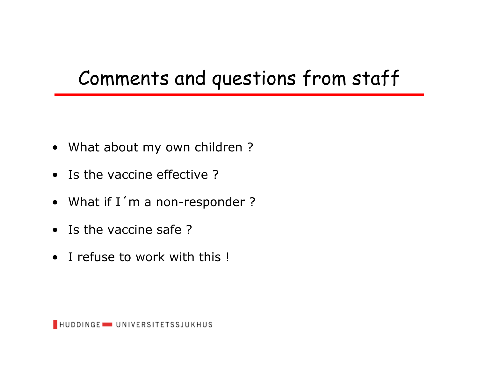## Comments and questions from staff

- What about my own children ?
- Is the vaccine effective ?
- What if I´m a non-responder ?
- Is the vaccine safe ?
- I refuse to work with this !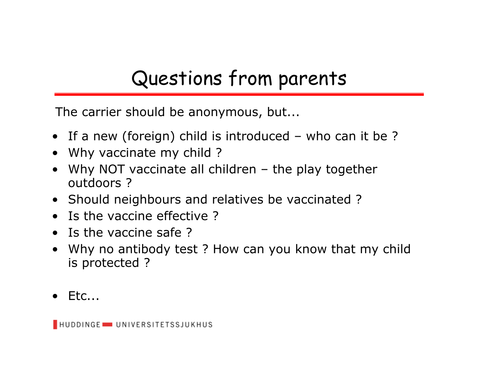# Questions from parents

The carrier should be anonymous, but...

- If a new (foreign) child is introduced who can it be ?
- Why vaccinate my child ?
- •Why NOT vaccinate all children – the play together outdoors ?
- Should neighbours and relatives be vaccinated ?
- Is the vaccine effective ?
- Is the vaccine safe ?
- $\bullet$  Why no antibody test ? How can you know that my child is protected ?
- Etc...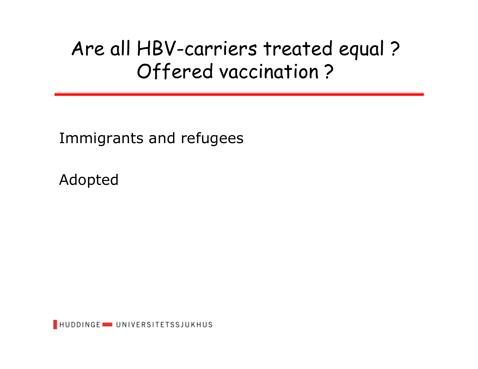### Are all HBV-carriers treated equal ? Offered vaccination ?

Immigrants and refugees

Adopted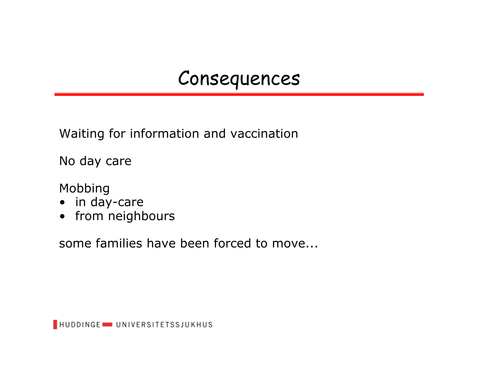#### Consequences

Waiting for information and vaccination

No day care

Mobbing

- in day-care
- from neighbours

some families have been forced to move...